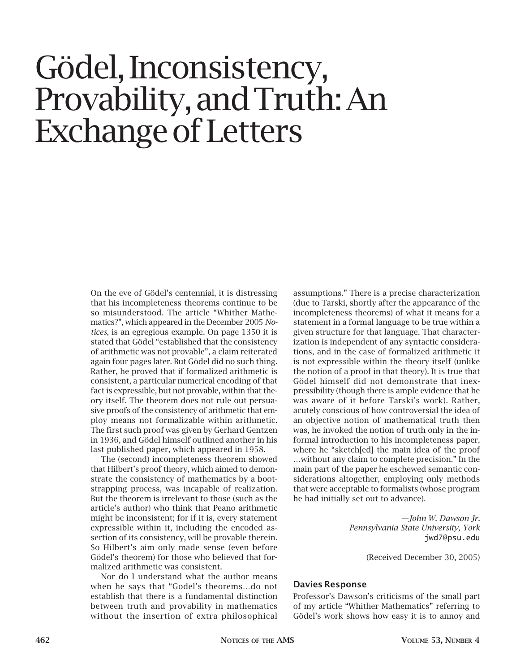## Gödel, Inconsistency, Provability, and Truth: An Exchange of Letters

On the eve of Gödel's centennial, it is distressing that his incompleteness theorems continue to be so misunderstood. The article "Whither Mathematics?", which appeared in the December 2005 *Notices*, is an egregious example. On page 1350 it is stated that Gödel "established that the consistency of arithmetic was not provable", a claim reiterated again four pages later. But Gödel did no such thing. Rather, he proved that if formalized arithmetic is consistent, a particular numerical encoding of that fact is expressible, but not provable, within that theory itself. The theorem does not rule out persuasive proofs of the consistency of arithmetic that employ means not formalizable within arithmetic. The first such proof was given by Gerhard Gentzen in 1936, and Gödel himself outlined another in his last published paper, which appeared in 1958.

The (second) incompleteness theorem showed that Hilbert's proof theory, which aimed to demonstrate the consistency of mathematics by a bootstrapping process, was incapable of realization. But the theorem is irrelevant to those (such as the article's author) who think that Peano arithmetic might be inconsistent; for if it is, every statement expressible within it, including the encoded assertion of its consistency, will be provable therein. So Hilbert's aim only made sense (even before Gödel's theorem) for those who believed that formalized arithmetic was consistent.

Nor do I understand what the author means when he says that "Godel's theorems…do not establish that there is a fundamental distinction between truth and provability in mathematics without the insertion of extra philosophical

assumptions." There is a precise characterization (due to Tarski, shortly after the appearance of the incompleteness theorems) of what it means for a statement in a formal language to be true within a given structure for that language. That characterization is independent of any syntactic considerations, and in the case of formalized arithmetic it is not expressible within the theory itself (unlike the notion of a proof in that theory). It is true that Gödel himself did not demonstrate that inexpressibility (though there is ample evidence that he was aware of it before Tarski's work). Rather, acutely conscious of how controversial the idea of an objective notion of mathematical truth then was, he invoked the notion of truth only in the informal introduction to his incompleteness paper, where he "sketch[ed] the main idea of the proof …without any claim to complete precision." In the main part of the paper he eschewed semantic considerations altogether, employing only methods that were acceptable to formalists (whose program he had initially set out to advance).

> *—John W. Dawson Jr. Pennsylvania State University, York* jwd7@psu.edu

> > (Received December 30, 2005)

## **Davies Response**

Professor's Dawson's criticisms of the small part of my article "Whither Mathematics" referring to Gödel's work shows how easy it is to annoy and